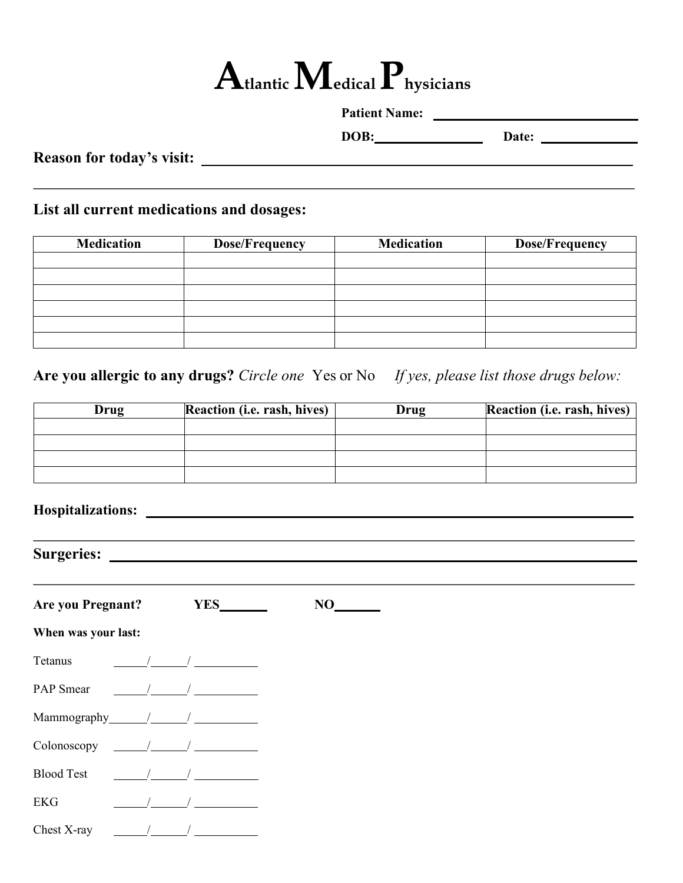# **Atlantic Medical Physicians**

| <b>Patient Name:</b> |  |
|----------------------|--|
|                      |  |

**Reason for today's visit:** 

**DOB: Date: Date: Date: Date: Date: Date: Date: Date: Date: Date: Date: Date: Date: Date: Date: Date: Date: Date: Date: Date: Date: Date: Date: Date: Date: Date: Date:** 

**List all current medications and dosages:**

| <b>Medication</b> | <b>Dose/Frequency</b> | <b>Medication</b> | <b>Dose/Frequency</b> |
|-------------------|-----------------------|-------------------|-----------------------|
|                   |                       |                   |                       |
|                   |                       |                   |                       |
|                   |                       |                   |                       |
|                   |                       |                   |                       |
|                   |                       |                   |                       |
|                   |                       |                   |                       |

**Are you allergic to any drugs?** *Circle one* Yes or No *If yes, please list those drugs below:*

| Drug | <b>Reaction (i.e. rash, hives)</b> | Drug | Reaction (i.e. rash, hives) |
|------|------------------------------------|------|-----------------------------|
|      |                                    |      |                             |
|      |                                    |      |                             |
|      |                                    |      |                             |
|      |                                    |      |                             |

<u> 1989 - Johann Stoff, amerikansk politiker (d. 1989)</u>

**Hospitalizations:** 

**Surgeries:** 

| <b>Are you Pregnant?</b> | <b>YES</b> | NO |  |
|--------------------------|------------|----|--|
| When was your last:      |            |    |  |
| Tetanus                  |            |    |  |
| PAP Smear                |            |    |  |
| Mammography_             |            |    |  |
| Colonoscopy              |            |    |  |
| <b>Blood Test</b>        |            |    |  |
| <b>EKG</b>               |            |    |  |
| Chest X-ray              |            |    |  |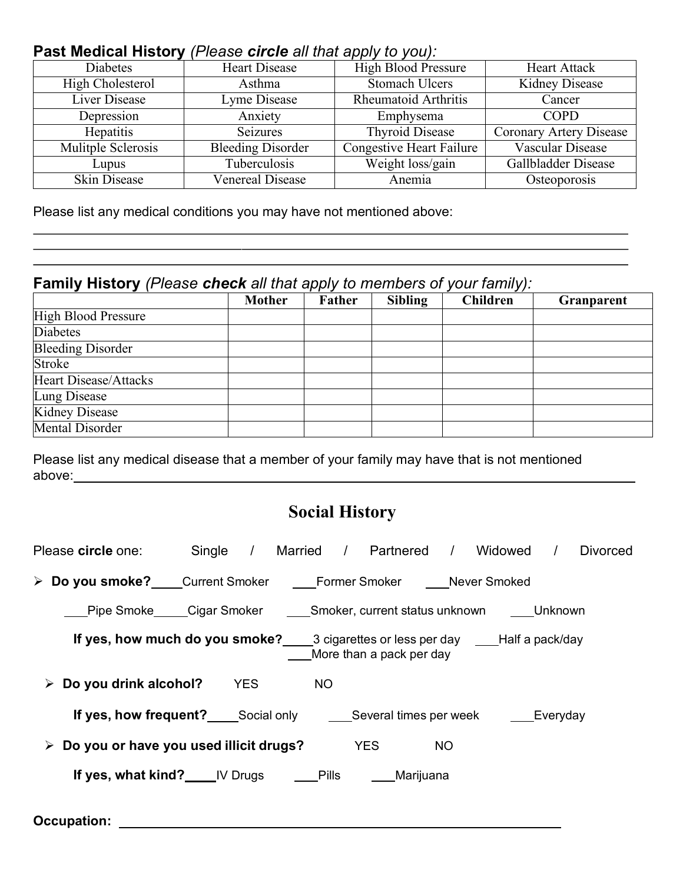## **Past Medical History** *(Please circle all that apply to you):*

| <b>Heart Disease</b>     | <b>High Blood Pressure</b>      | <b>Heart Attack</b>     |
|--------------------------|---------------------------------|-------------------------|
| Asthma                   | <b>Stomach Ulcers</b>           | Kidney Disease          |
| Lyme Disease             | Rheumatoid Arthritis            | Cancer                  |
| Anxiety                  | Emphysema                       | <b>COPD</b>             |
| Seizures                 | <b>Thyroid Disease</b>          | Coronary Artery Disease |
| <b>Bleeding Disorder</b> | <b>Congestive Heart Failure</b> | Vascular Disease        |
| Tuberculosis             | Weight loss/gain                | Gallbladder Disease     |
| Venereal Disease         | Anemia                          | Osteoporosis            |
|                          |                                 |                         |

Please list any medical conditions you may have not mentioned above:

### **Family History** *(Please check all that apply to members of your family):*

|                              | <b>Mother</b> | Father | <b>Sibling</b> | <b>Children</b> | Granparent |
|------------------------------|---------------|--------|----------------|-----------------|------------|
| <b>High Blood Pressure</b>   |               |        |                |                 |            |
| <b>Diabetes</b>              |               |        |                |                 |            |
| <b>Bleeding Disorder</b>     |               |        |                |                 |            |
| Stroke                       |               |        |                |                 |            |
| <b>Heart Disease/Attacks</b> |               |        |                |                 |            |
| Lung Disease                 |               |        |                |                 |            |
| Kidney Disease               |               |        |                |                 |            |
| Mental Disorder              |               |        |                |                 |            |

Please list any medical disease that a member of your family may have that is not mentioned above: above:

## **Social History**

| Please circle one: Single / Married / Partnered                                 |            |           |                          |           | / Widowed | <b>Divorced</b> |
|---------------------------------------------------------------------------------|------------|-----------|--------------------------|-----------|-----------|-----------------|
| > Do you smoke? Current Smoker Comer Smoker Chever Smoked                       |            |           |                          |           |           |                 |
| Pipe Smoke Cigar Smoker Smoker, current status unknown Unknown                  |            |           |                          |           |           |                 |
| If yes, how much do you smoke? 3 cigarettes or less per day ____Half a pack/day |            |           | More than a pack per day |           |           |                 |
| Do you drink alcohol?<br>➤                                                      | <b>YES</b> | <b>NO</b> |                          |           |           |                 |
| <b>If yes, how frequent?</b> Social only Several times per week Severyday       |            |           |                          |           |           |                 |
| Do you or have you used illicit drugs?<br>➤                                     |            |           | <b>YES</b>               | <b>NO</b> |           |                 |
| <b>If yes, what kind?</b> IV Drugs Pills                                        |            |           | Marijuana                |           |           |                 |

**Occupation:**